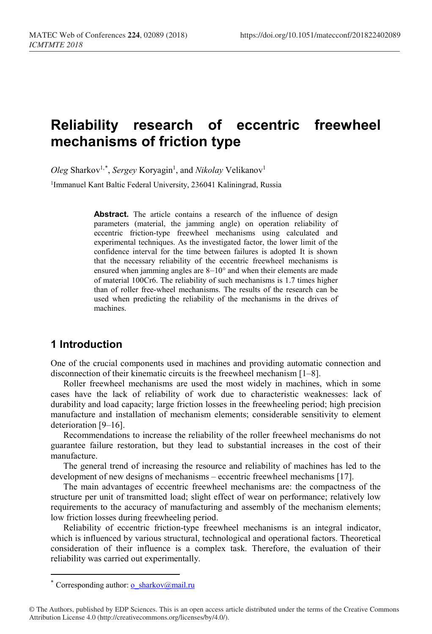# **Reliability research of eccentric freewheel mechanisms of friction type**

Oleg Sharkov<sup>1,[\\*](#page-0-0)</sup>, *Sergey* Koryagin<sup>1</sup>, and *Nikolay* Velikanov<sup>1</sup>

<sup>1</sup>Immanuel Kant Baltic Federal University, 236041 Kaliningrad, Russia

Abstract. The article contains a research of the influence of design parameters (material, the jamming angle) on operation reliability of eccentric friction-type freewheel mechanisms using calculated and experimental techniques. As the investigated factor, the lower limit of the confidence interval for the time between failures is adopted It is shown that the necessary reliability of the eccentric freewheel mechanisms is ensured when jamming angles are 8–10° and when their elements are made of material 100Cr6. The reliability of such mechanisms is 1.7 times higher than of roller free-wheel mechanisms. The results of the research can be used when predicting the reliability of the mechanisms in the drives of machines.

# **1 Introduction**

One of the crucial components used in machines and providing automatic connection and disconnection of their kinematic circuits is the freewheel mechanism [1–8].

Roller freewheel mechanisms are used the most widely in machines, which in some cases have the lack of reliability of work due to characteristic weaknesses: lack of durability and load capacity; large friction losses in the freewheeling period; high precision manufacture and installation of mechanism elements; considerable sensitivity to element deterioration [9–16].

Recommendations to increase the reliability of the roller freewheel mechanisms do not guarantee failure restoration, but they lead to substantial increases in the cost of their manufacture.

The general trend of increasing the resource and reliability of machines has led to the development of new designs of mechanisms – eccentric freewheel mechanisms [17].

The main advantages of eccentric freewheel mechanisms are: the compactness of the structure per unit of transmitted load; slight effect of wear on performance; relatively low requirements to the accuracy of manufacturing and assembly of the mechanism elements; low friction losses during freewheeling period.

Reliability of eccentric friction-type freewheel mechanisms is an integral indicator, which is influenced by various structural, technological and operational factors. Theoretical consideration of their influence is a complex task. Therefore, the evaluation of their reliability was carried out experimentally.

 $\overline{a}$ 

<span id="page-0-0"></span>Corresponding author: [o\\_sharkov@mail.ru](mailto:o_sharkov@mail.ru)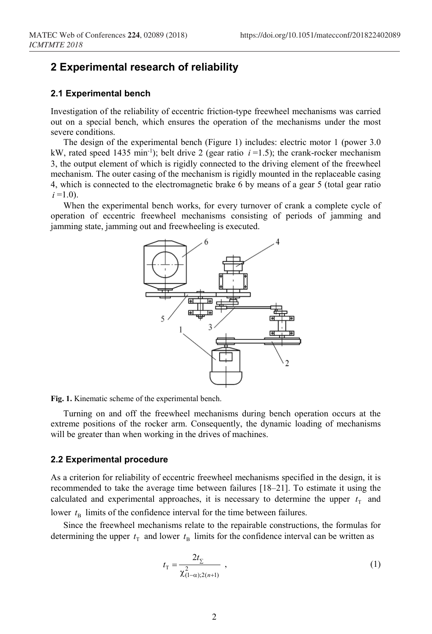### **2 Experimental research of reliability**

### **2.1 Experimental bench**

Investigation of the reliability of eccentric friction-type freewheel mechanisms was carried out on a special bench, which ensures the operation of the mechanisms under the most severe conditions.

The design of the experimental bench (Figure 1) includes: electric motor 1 (power 3.0 kW, rated speed 1435 min<sup>-1</sup>); belt drive 2 (gear ratio  $i = 1.5$ ); the crank-rocker mechanism 3, the output element of which is rigidly connected to the driving element of the freewheel mechanism. The outer casing of the mechanism is rigidly mounted in the replaceable casing 4, which is connected to the electromagnetic brake 6 by means of a gear 5 (total gear ratio  $i = 1.0$ ).

When the experimental bench works, for every turnover of crank a complete cycle of operation of eccentric freewheel mechanisms consisting of periods of jamming and jamming state, jamming out and freewheeling is executed.



**Fig. 1.** Kinematic scheme of the experimental bench.

Turning on and off the freewheel mechanisms during bench operation occurs at the extreme positions of the rocker arm. Consequently, the dynamic loading of mechanisms will be greater than when working in the drives of machines.

#### **2.2 Experimental procedure**

As a criterion for reliability of eccentric freewheel mechanisms specified in the design, it is recommended to take the average time between failures [18–21]. To estimate it using the calculated and experimental approaches, it is necessary to determine the upper  $t<sub>T</sub>$  and lower  $t<sub>B</sub>$  limits of the confidence interval for the time between failures.

Since the freewheel mechanisms relate to the repairable constructions, the formulas for determining the upper  $t<sub>T</sub>$  and lower  $t<sub>R</sub>$  limits for the confidence interval can be written as

$$
t_{\rm T} = \frac{2t_{\rm T}}{\chi_{(1-\alpha):2(n+1)}^2} \tag{1}
$$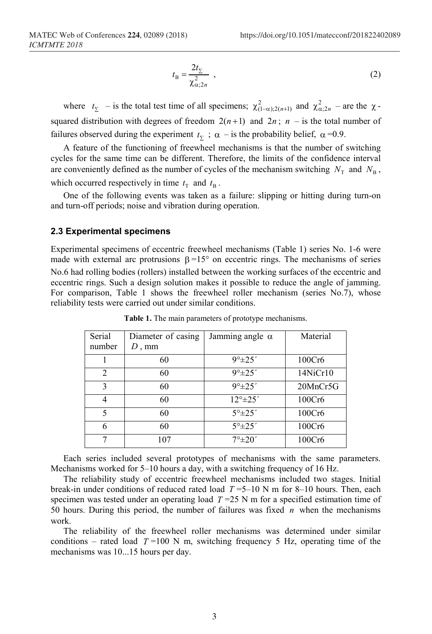$$
t_{\rm B} = \frac{2t_{\Sigma}}{\chi_{\alpha;2n}^2} \tag{2}
$$

where  $t_{\Sigma}$  – is the total test time of all specimens;  $\chi^2_{(1-\alpha);2(n+1)}$  and  $\chi^2_{\alpha;2n}$  – are the  $\chi$ squared distribution with degrees of freedom  $2(n+1)$  and  $2n$ ;  $n -$  is the total number of failures observed during the experiment  $t<sub>y</sub>$ ;  $\alpha$  – is the probability belief,  $\alpha$  =0.9.

A feature of the functioning of freewheel mechanisms is that the number of switching cycles for the same time can be different. Therefore, the limits of the confidence interval are conveniently defined as the number of cycles of the mechanism switching  $N<sub>T</sub>$  and  $N<sub>B</sub>$ , which occurred respectively in time  $t<sub>T</sub>$  and  $t<sub>B</sub>$ .

One of the following events was taken as a failure: slipping or hitting during turn-on and turn-off periods; noise and vibration during operation.

#### **2.3 Experimental specimens**

Experimental specimens of eccentric freewheel mechanisms (Table 1) series No. 1-6 were made with external arc protrusions  $\beta = 15^{\circ}$  on eccentric rings. The mechanisms of series No.6 had rolling bodies (rollers) installed between the working surfaces of the eccentric and eccentric rings. Such a design solution makes it possible to reduce the angle of jamming. For comparison, Table 1 shows the freewheel roller mechanism (series No.7), whose reliability tests were carried out under similar conditions.

| Serial<br>number | Diameter of casing<br>$D$ , mm | Jamming angle $\alpha$        | Material |
|------------------|--------------------------------|-------------------------------|----------|
|                  | 60                             | $9^{\circ}$ ±25'              | 100Cr6   |
| $\overline{2}$   | 60                             | $9^{\circ}$ ±25'              | 14NiCr10 |
| 3                | 60                             | $9^{\circ}$ ± 25'             | 20MnCr5G |
|                  | 60                             | $12^{\circ}$ ± 25'            | 100Cr6   |
| 5                | 60                             | $5^{\circ}$ $\pm 25^{\prime}$ | 100Cr6   |
| 6                | 60                             | $5^{\circ}$ $\pm 25^{\prime}$ | 100Cr6   |
| 7                | 107                            | $7^{\circ}$ ±20'              | 100Cr6   |

**Table 1.** The main parameters of prototype mechanisms.

Each series included several prototypes of mechanisms with the same parameters. Mechanisms worked for 5–10 hours a day, with a switching frequency of 16 Hz.

The reliability study of eccentric freewheel mechanisms included two stages. Initial break-in under conditions of reduced rated load *T* =5–10 N m for 8–10 hours. Then, each specimen was tested under an operating load  $T = 25$  N m for a specified estimation time of 50 hours. During this period, the number of failures was fixed *n* when the mechanisms work.

The reliability of the freewheel roller mechanisms was determined under similar conditions – rated load  $T=100$  N m, switching frequency 5 Hz, operating time of the mechanisms was 10...15 hours per day.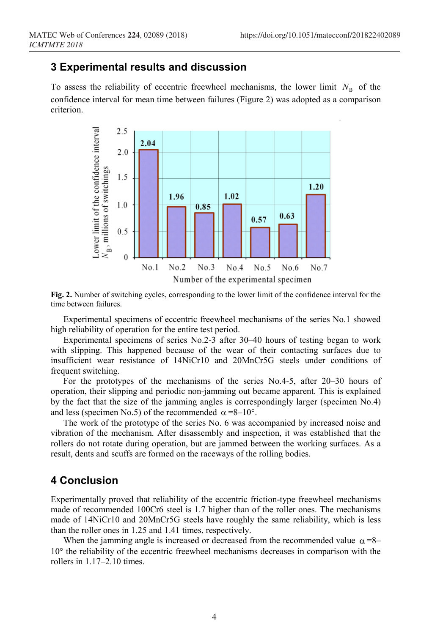## **3 Experimental results and discussion**

To assess the reliability of eccentric freewheel mechanisms, the lower limit  $N_B$  of the confidence interval for mean time between failures (Figure 2) was adopted as a comparison criterion.



**Fig. 2.** Number of switching cycles, corresponding to the lower limit of the confidence interval for the time between failures.

Experimental specimens of eccentric freewheel mechanisms of the series No.1 showed high reliability of operation for the entire test period.

Experimental specimens of series No.2-3 after 30–40 hours of testing began to work with slipping. This happened because of the wear of their contacting surfaces due to insufficient wear resistance of 14NiCr10 and 20MnCr5G steels under conditions of frequent switching.

For the prototypes of the mechanisms of the series No.4-5, after 20–30 hours of operation, their slipping and periodic non-jamming out became apparent. This is explained by the fact that the size of the jamming angles is correspondingly larger (specimen No.4) and less (specimen No.5) of the recommended  $\alpha = 8-10^{\circ}$ .

The work of the prototype of the series No. 6 was accompanied by increased noise and vibration of the mechanism. After disassembly and inspection, it was established that the rollers do not rotate during operation, but are jammed between the working surfaces. As a result, dents and scuffs are formed on the raceways of the rolling bodies.

### **4 Conclusion**

Experimentally proved that reliability of the eccentric friction-type freewheel mechanisms made of recommended 100Cr6 steel is 1.7 higher than of the roller ones. The mechanisms made of 14NiCr10 and 20MnCr5G steels have roughly the same reliability, which is less than the roller ones in 1.25 and 1.41 times, respectively.

When the jamming angle is increased or decreased from the recommended value  $\alpha$ =8– 10° the reliability of the eccentric freewheel mechanisms decreases in comparison with the rollers in 1.17–2.10 times.